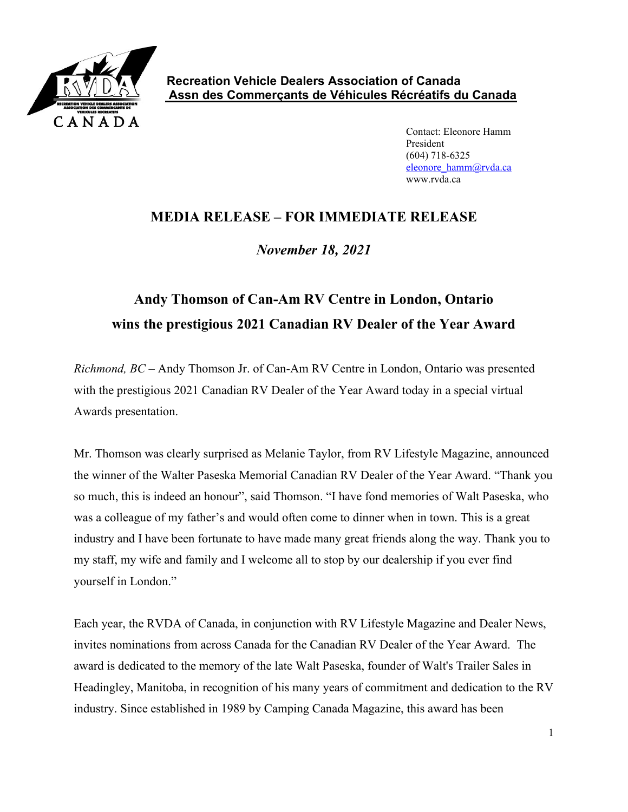

Contact: Eleonore Hamm President (604) 718-6325 [eleonore\\_hamm@rvda.ca](mailto:eleonore_hamm@rvda.ca) www.rvda.ca

## **MEDIA RELEASE – FOR IMMEDIATE RELEASE**

*November 18, 2021*

## **Andy Thomson of Can-Am RV Centre in London, Ontario wins the prestigious 2021 Canadian RV Dealer of the Year Award**

*Richmond, BC –* Andy Thomson Jr. of Can-Am RV Centre in London, Ontario was presented with the prestigious 2021 Canadian RV Dealer of the Year Award today in a special virtual Awards presentation.

Mr. Thomson was clearly surprised as Melanie Taylor, from RV Lifestyle Magazine, announced the winner of the Walter Paseska Memorial Canadian RV Dealer of the Year Award. "Thank you so much, this is indeed an honour", said Thomson. "I have fond memories of Walt Paseska, who was a colleague of my father's and would often come to dinner when in town. This is a great industry and I have been fortunate to have made many great friends along the way. Thank you to my staff, my wife and family and I welcome all to stop by our dealership if you ever find yourself in London."

Each year, the RVDA of Canada, in conjunction with RV Lifestyle Magazine and Dealer News, invites nominations from across Canada for the Canadian RV Dealer of the Year Award. The award is dedicated to the memory of the late Walt Paseska, founder of Walt's Trailer Sales in Headingley, Manitoba, in recognition of his many years of commitment and dedication to the RV industry. Since established in 1989 by Camping Canada Magazine, this award has been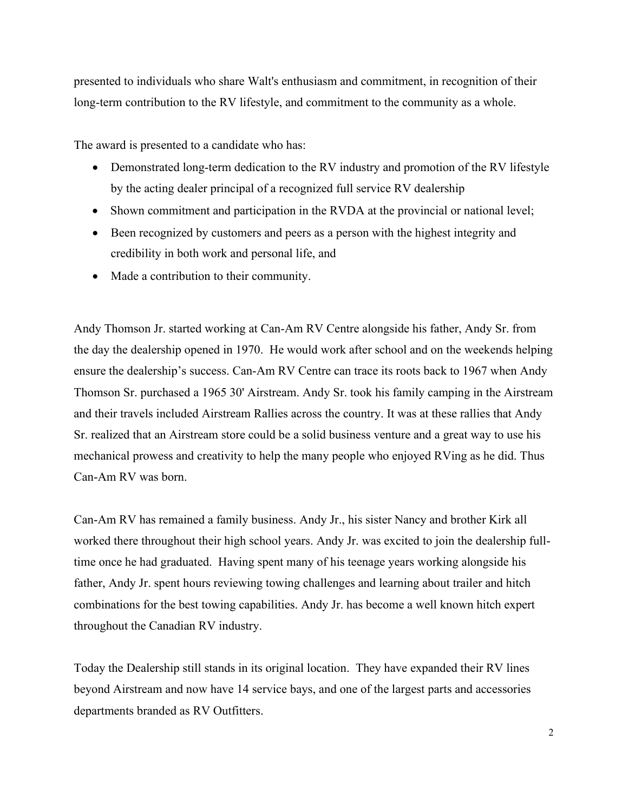presented to individuals who share Walt's enthusiasm and commitment, in recognition of their long-term contribution to the RV lifestyle, and commitment to the community as a whole.

The award is presented to a candidate who has:

- Demonstrated long-term dedication to the RV industry and promotion of the RV lifestyle by the acting dealer principal of a recognized full service RV dealership
- Shown commitment and participation in the RVDA at the provincial or national level;
- Been recognized by customers and peers as a person with the highest integrity and credibility in both work and personal life, and
- Made a contribution to their community.

Andy Thomson Jr. started working at Can-Am RV Centre alongside his father, Andy Sr. from the day the dealership opened in 1970. He would work after school and on the weekends helping ensure the dealership's success. Can-Am RV Centre can trace its roots back to 1967 when Andy Thomson Sr. purchased a 1965 30' Airstream. Andy Sr. took his family camping in the Airstream and their travels included Airstream Rallies across the country. It was at these rallies that Andy Sr. realized that an Airstream store could be a solid business venture and a great way to use his mechanical prowess and creativity to help the many people who enjoyed RVing as he did. Thus Can-Am RV was born.

Can-Am RV has remained a family business. Andy Jr., his sister Nancy and brother Kirk all worked there throughout their high school years. Andy Jr. was excited to join the dealership fulltime once he had graduated. Having spent many of his teenage years working alongside his father, Andy Jr. spent hours reviewing towing challenges and learning about trailer and hitch combinations for the best towing capabilities. Andy Jr. has become a well known hitch expert throughout the Canadian RV industry.

Today the Dealership still stands in its original location. They have expanded their RV lines beyond Airstream and now have 14 service bays, and one of the largest parts and accessories departments branded as RV Outfitters.